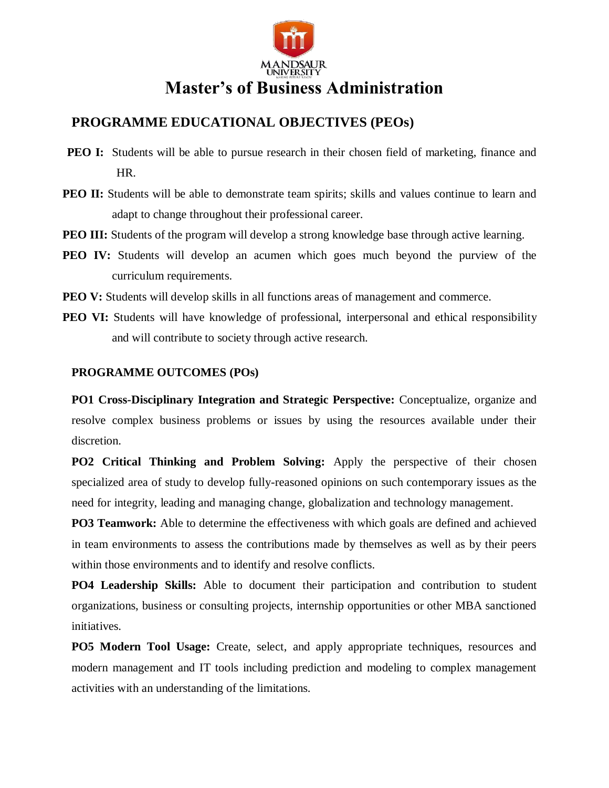

## **PROGRAMME EDUCATIONAL OBJECTIVES (PEOs)**

- **PEO I:** Students will be able to pursue research in their chosen field of marketing, finance and HR.
- **PEO II:** Students will be able to demonstrate team spirits; skills and values continue to learn and adapt to change throughout their professional career.
- **PEO III:** Students of the program will develop a strong knowledge base through active learning.
- **PEO IV:** Students will develop an acumen which goes much beyond the purview of the curriculum requirements.
- **PEO V:** Students will develop skills in all functions areas of management and commerce.
- **PEO VI:** Students will have knowledge of professional, interpersonal and ethical responsibility and will contribute to society through active research.

### **PROGRAMME OUTCOMES (POs)**

**PO1 Cross-Disciplinary Integration and Strategic Perspective:** Conceptualize, organize and resolve complex business problems or issues by using the resources available under their discretion.

**PO2 Critical Thinking and Problem Solving:** Apply the perspective of their chosen specialized area of study to develop fully-reasoned opinions on such contemporary issues as the need for integrity, leading and managing change, globalization and technology management.

**PO3 Teamwork:** Able to determine the effectiveness with which goals are defined and achieved in team environments to assess the contributions made by themselves as well as by their peers within those environments and to identify and resolve conflicts.

**PO4 Leadership Skills:** Able to document their participation and contribution to student organizations, business or consulting projects, internship opportunities or other MBA sanctioned initiatives.

**PO5 Modern Tool Usage:** Create, select, and apply appropriate techniques, resources and modern management and IT tools including prediction and modeling to complex management activities with an understanding of the limitations.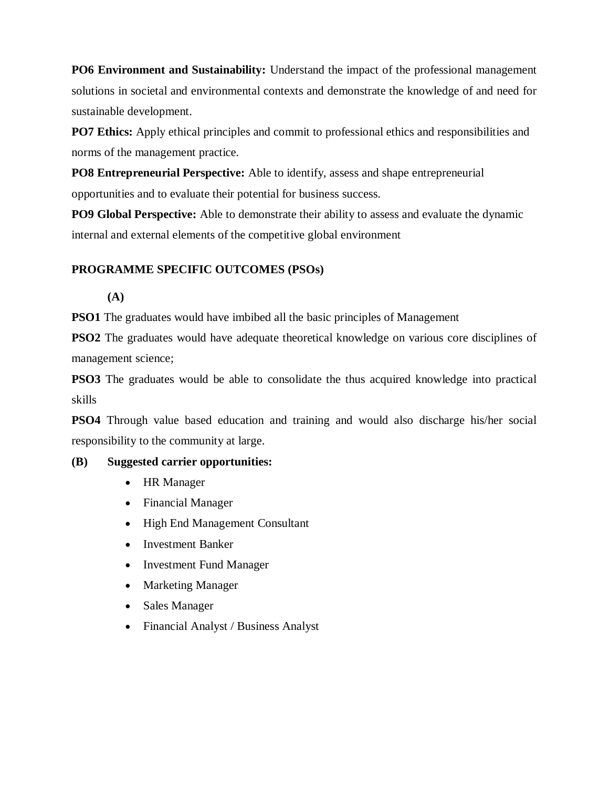**PO6 Environment and Sustainability:** Understand the impact of the professional management solutions in societal and environmental contexts and demonstrate the knowledge of and need for sustainable development.

**PO7 Ethics:** Apply ethical principles and commit to professional ethics and responsibilities and norms of the management practice.

**PO8 Entrepreneurial Perspective:** Able to identify, assess and shape entrepreneurial opportunities and to evaluate their potential for business success.

**PO9 Global Perspective:** Able to demonstrate their ability to assess and evaluate the dynamic internal and external elements of the competitive global environment

### **PROGRAMME SPECIFIC OUTCOMES (PSOs)**

**(A)**

**PSO1** The graduates would have imbibed all the basic principles of Management

**PSO2** The graduates would have adequate theoretical knowledge on various core disciplines of management science;

**PSO3** The graduates would be able to consolidate the thus acquired knowledge into practical skills

**PSO4** Through value based education and training and would also discharge his/her social responsibility to the community at large.

#### **(B) Suggested carrier opportunities:**

- HR Manager
- Financial Manager
- High End Management Consultant
- Investment Banker
- Investment Fund Manager
- Marketing Manager
- Sales Manager
- Financial Analyst / Business Analyst